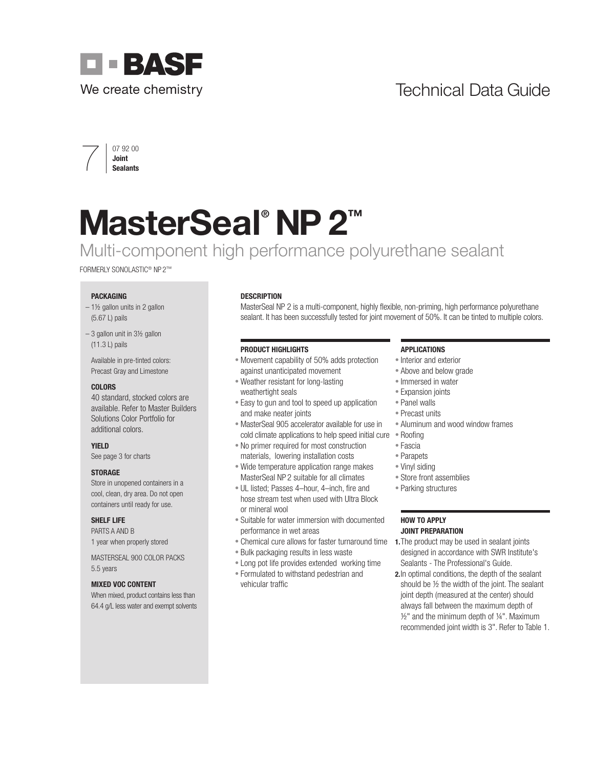## Technical Data Guide





# MasterSeal<sup>®</sup> NP 2<sup>™</sup>

## Multi-component high performance polyurethane sealant

FORMERLY SONOLASTIC® NP 2™

#### PACKAGING

- $-1\frac{1}{2}$  gallon units in 2 gallon (5.67 L) pails
- $-3$  gallon unit in  $3\frac{1}{2}$  gallon (11.3 L) pails

Available in pre-tinted colors: Precast Gray and Limestone

#### COLORS

40 standard, stocked colors are available. Refer to Master Builders Solutions Color Portfolio for additional colors.

#### YIELD

See page 3 for charts

#### **STORAGE**

Store in unopened containers in a cool, clean, dry area. Do not open containers until ready for use.

#### SHELF LIFE

PARTS A AND B 1 year when properly stored

MASTERSEAL 900 COLOR PACKS 5.5 years

#### MIXED VOC CONTENT

When mixed, product contains less than 64.4 g/L less water and exempt solvents

#### **DESCRIPTION**

MasterSeal NP 2 is a multi-component, highly flexible, non-priming, high performance polyurethane sealant. It has been successfully tested for joint movement of 50%. It can be tinted to multiple colors.

#### PRODUCT HIGHLIGHTS

- Movement capability of 50% adds protection against unanticipated movement
- Weather resistant for long-lasting weathertight seals
- Easy to gun and tool to speed up application and make neater joints
- MasterSeal 905 accelerator available for use in cold climate applications to help speed initial cure • Roofing
- No primer required for most construction materials, lowering installation costs
- Wide temperature application range makes MasterSeal NP 2 suitable for all climates
- UL listed; Passes 4–hour, 4–inch, fire and hose stream test when used with Ultra Block or mineral wool
- Suitable for water immersion with documented performance in wet areas
- Chemical cure allows for faster turnaround time
- Bulk packaging results in less waste
- Long pot life provides extended working time
- Formulated to withstand pedestrian and vehicular traffic

#### APPLICATIONS

- Interior and exterior
- Above and below grade
- Immersed in water
- Expansion joints
- Panel walls
- Precast units
- Aluminum and wood window frames
- 
- Fascia
- Parapets
- Vinyl siding
- Store front assemblies
- Parking structures

#### HOW TO APPLY JOINT PREPARATION

- 1. The product may be used in sealant joints designed in accordance with SWR Institute's Sealants - The Professional's Guide.
- 2.In optimal conditions, the depth of the sealant should be ½ the width of the joint. The sealant joint depth (measured at the center) should always fall between the maximum depth of ½" and the minimum depth of ¼". Maximum recommended joint width is 3". Refer to Table 1.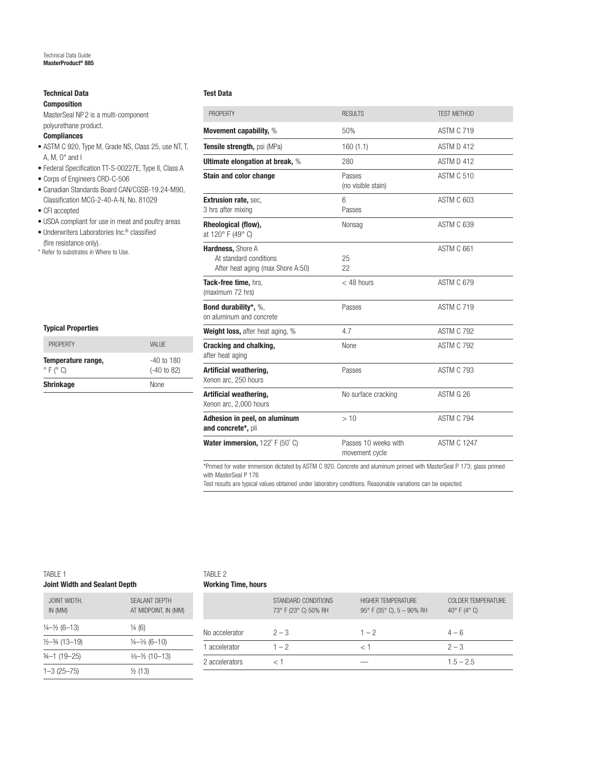### Technical Data

Composition

MasterSeal NP 2 is a multi-component polyurethane product.

#### **Compliances**

- ASTM C 920, Type M, Grade NS, Class 25, use NT, T, A, M,  $0^*$  and I
- Federal Specification TT-S-00227E, Type II, Class A
- Corps of Engineers CRD-C-506
- Canadian Standards Board CAN/CGSB-19.24-M90, Classification MCG-2-40-A-N, No. 81029
- CFI accepted
- USDA compliant for use in meat and poultry areas

Temperature range, Temperature range,  $\circ$  F ( $\circ$  C) (-40 to 82) Shrinkage None

PROPERTY **VALUE** 

- Underwriters Laboratories Inc.® classified (fire resistance only).
- \* Refer to substrates in Where to Use.

Typical Properties

| <b>PROPFRTY</b>                                                                  | <b>RESULTS</b>                         | <b>TFST MFTHOD</b> |  |  |
|----------------------------------------------------------------------------------|----------------------------------------|--------------------|--|--|
| Movement capability, %                                                           | 50%                                    | <b>ASTM C 719</b>  |  |  |
| Tensile strength, psi (MPa)                                                      | 160(1.1)                               | ASTM D 412         |  |  |
| <b>Ultimate elongation at break, %</b>                                           | 280                                    | ASTM D 412         |  |  |
| <b>Stain and color change</b>                                                    | Passes<br>(no visible stain)           | <b>ASTM C 510</b>  |  |  |
| <b>Extrusion rate, sec,</b><br>3 hrs after mixing                                | 6<br>Passes                            | ASTM C 603         |  |  |
| Rheological (flow),<br>at 120° F (49° C)                                         | Nonsag                                 | <b>ASTM C 639</b>  |  |  |
| Hardness, Shore A<br>At standard conditions<br>After heat aging (max Shore A:50) | 25<br>22                               | ASTM C 661         |  |  |
| Tack-free time, hrs.<br>(maximum 72 hrs)                                         | $<$ 48 hours                           | <b>ASTM C 679</b>  |  |  |
| Bond durability*, %,<br>on aluminum and concrete                                 | Passes                                 | <b>ASTM C 719</b>  |  |  |
| Weight loss, after heat aging, %                                                 | 4.7                                    | <b>ASTM C 792</b>  |  |  |
| Cracking and chalking,<br>after heat aging                                       | None                                   | <b>ASTM C 792</b>  |  |  |
| Artificial weathering,<br>Xenon arc, 250 hours                                   | Passes                                 | <b>ASTM C 793</b>  |  |  |
| Artificial weathering,<br>Xenon arc, 2,000 hours                                 | No surface cracking                    | ASTM G 26          |  |  |
| Adhesion in peel, on aluminum<br>and concrete*, pli                              | >10                                    | <b>ASTM C 794</b>  |  |  |
| Water immersion, 122° F (50° C)                                                  | Passes 10 weeks with<br>movement cycle | <b>ASTM C 1247</b> |  |  |

\*Primed for water immersion dictated by ASTM C 920. Concrete and aluminum primed with MasterSeal P 173; glass primed with MasterSeal P 176

Test results are typical values obtained under laboratory conditions. Reasonable variations can be expected.

#### TABLE 1 Joint Width and Sealant Depth

 $1-3(25-75)$   $\frac{1}{2}(13)$ 

| TABLE 2                    |  |
|----------------------------|--|
| <b>Working Time, hours</b> |  |

| SFAI ANT DEPTH<br>STANDARD CONDITIONS<br>HIGHER TEMPERATURE<br><b>COLDER TEMPERATURE</b><br>JOINT WIDTH,<br>73° F (23° C) 50% RH<br>IN (MM)<br>AT MIDPOINT, IN (MM)<br>$95^{\circ}$ F (35 $^{\circ}$ C), 5 - 90% RH<br>40 $^{\circ}$ F (4 $^{\circ}$ C)<br>$\frac{1}{4}$ (6)<br>$\frac{1}{4} - \frac{1}{2} (6 - 13)$<br>$2 - 3$<br>$4 - 6$<br>No accelerator<br>$1 - 2$<br>$\frac{1}{2} - \frac{3}{4} (13 - 19)$<br>$\frac{1}{4} - \frac{3}{8} (6 - 10)$<br>$2 - 3$<br>$1 - 2$<br>accelerator<br>$3/4 - 1$ (19-25)<br>$\frac{3}{6} - \frac{1}{2}$ (10-13)<br>2 accelerators<br>$1.5 - 2.5$ | $1 - 3$ (25-75) | $1/2$ $(12)$ |  |  |
|--------------------------------------------------------------------------------------------------------------------------------------------------------------------------------------------------------------------------------------------------------------------------------------------------------------------------------------------------------------------------------------------------------------------------------------------------------------------------------------------------------------------------------------------------------------------------------------------|-----------------|--------------|--|--|
|                                                                                                                                                                                                                                                                                                                                                                                                                                                                                                                                                                                            |                 |              |  |  |
|                                                                                                                                                                                                                                                                                                                                                                                                                                                                                                                                                                                            |                 |              |  |  |
|                                                                                                                                                                                                                                                                                                                                                                                                                                                                                                                                                                                            |                 |              |  |  |
|                                                                                                                                                                                                                                                                                                                                                                                                                                                                                                                                                                                            |                 |              |  |  |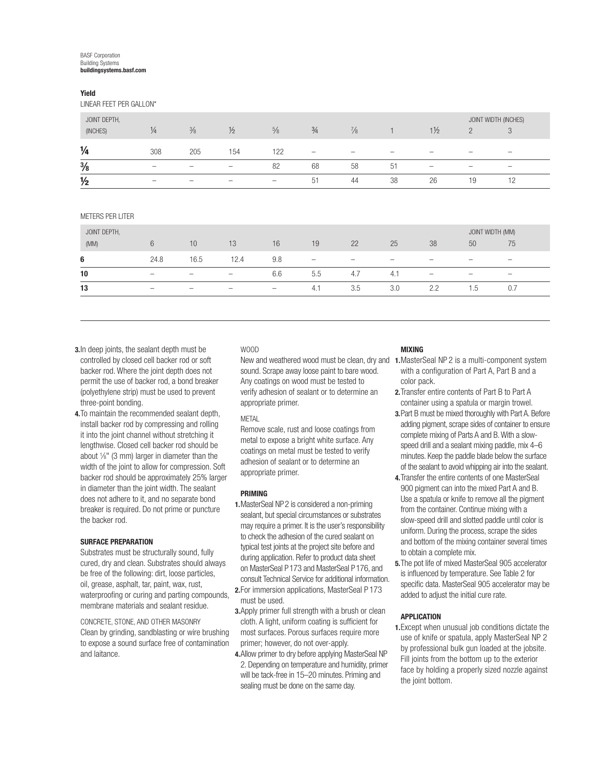#### BASF Corporation Building Systems buildingsystems.basf.com

#### Yield

LINEAR FEET PER GALLON\*

| JOINT DEPTH,<br>(INCHES) | $\frac{1}{4}$            | $\frac{3}{8}$            | $\frac{1}{2}$            | $\frac{5}{8}$            | $\frac{3}{4}$            | $\frac{7}{8}$ |                          | $1\frac{1}{2}$           | $\Omega$                 | JOINT WIDTH (INCHES)<br>3 |
|--------------------------|--------------------------|--------------------------|--------------------------|--------------------------|--------------------------|---------------|--------------------------|--------------------------|--------------------------|---------------------------|
| $\frac{1}{4}$            | 308                      | 205                      | 154                      | 122                      | $\overline{\phantom{a}}$ | -             | $\overline{\phantom{a}}$ | $\overline{\phantom{a}}$ | $\overline{\phantom{a}}$ | $\overline{\phantom{a}}$  |
| $\frac{3}{8}$            | $\overline{\phantom{a}}$ | $\overline{\phantom{a}}$ | $\overline{\phantom{a}}$ | 82                       | 68                       | 58            | 51                       | $\overline{\phantom{a}}$ | $\overline{\phantom{a}}$ | $\overline{\phantom{a}}$  |
| $\frac{1}{2}$            | $\overline{\phantom{a}}$ | $\overline{\phantom{a}}$ | $\overline{\phantom{0}}$ | $\overline{\phantom{a}}$ | 51                       | 44            | 38                       | 26                       | 19                       |                           |

METERS PER LITER

| JOINT DEPTH, |                          |                          |                                                                                                                                                                                                                                                                                                                                                                                    |                          |                          |                          |                          |                                                                                                                                                                                                                                                                                                                                                                                    | JOINT WIDTH (MM)         |                          |  |
|--------------|--------------------------|--------------------------|------------------------------------------------------------------------------------------------------------------------------------------------------------------------------------------------------------------------------------------------------------------------------------------------------------------------------------------------------------------------------------|--------------------------|--------------------------|--------------------------|--------------------------|------------------------------------------------------------------------------------------------------------------------------------------------------------------------------------------------------------------------------------------------------------------------------------------------------------------------------------------------------------------------------------|--------------------------|--------------------------|--|
| (MM)         | 6                        | 10                       | 13                                                                                                                                                                                                                                                                                                                                                                                 | 16                       | 19                       | 22                       | 25                       | 38                                                                                                                                                                                                                                                                                                                                                                                 | 50                       | 75                       |  |
| 6            | 24.8                     | 16.5                     | 12.4                                                                                                                                                                                                                                                                                                                                                                               | 9.8                      | $\overline{\phantom{m}}$ | $\overline{\phantom{0}}$ | $\overline{\phantom{a}}$ | $\overline{\phantom{0}}$                                                                                                                                                                                                                                                                                                                                                           | $\overline{\phantom{a}}$ | $\overline{\phantom{a}}$ |  |
| 10           | $\overline{\phantom{a}}$ | $\hspace{1.0cm} \bar{}$  | $\hspace{1.0cm} \hspace{1.0cm} \hspace{1.0cm} \hspace{1.0cm} \hspace{1.0cm} \hspace{1.0cm} \hspace{1.0cm} \hspace{1.0cm} \hspace{1.0cm} \hspace{1.0cm} \hspace{1.0cm} \hspace{1.0cm} \hspace{1.0cm} \hspace{1.0cm} \hspace{1.0cm} \hspace{1.0cm} \hspace{1.0cm} \hspace{1.0cm} \hspace{1.0cm} \hspace{1.0cm} \hspace{1.0cm} \hspace{1.0cm} \hspace{1.0cm} \hspace{1.0cm} \hspace{$ | 6.6                      | 5.5                      | 4.7                      | 4.1                      | $\hspace{1.0cm} \hspace{1.0cm} \hspace{1.0cm} \hspace{1.0cm} \hspace{1.0cm} \hspace{1.0cm} \hspace{1.0cm} \hspace{1.0cm} \hspace{1.0cm} \hspace{1.0cm} \hspace{1.0cm} \hspace{1.0cm} \hspace{1.0cm} \hspace{1.0cm} \hspace{1.0cm} \hspace{1.0cm} \hspace{1.0cm} \hspace{1.0cm} \hspace{1.0cm} \hspace{1.0cm} \hspace{1.0cm} \hspace{1.0cm} \hspace{1.0cm} \hspace{1.0cm} \hspace{$ | $\overline{\phantom{0}}$ | $\overline{\phantom{0}}$ |  |
| 13           | $\overline{\phantom{a}}$ | $\overline{\phantom{a}}$ | $\overline{\phantom{a}}$                                                                                                                                                                                                                                                                                                                                                           | $\overline{\phantom{0}}$ | 4.1                      | 3.5                      | 3.0                      | 2.2                                                                                                                                                                                                                                                                                                                                                                                | 1.5                      | 0.7                      |  |

- **3.** In deep joints, the sealant depth must be controlled by closed cell backer rod or soft backer rod. Where the joint depth does not permit the use of backer rod, a bond breaker (polyethylene strip) must be used to prevent three-point bonding.
- 4.To maintain the recommended sealant depth, install backer rod by compressing and rolling it into the joint channel without stretching it lengthwise. Closed cell backer rod should be about  $\frac{1}{8}$ " (3 mm) larger in diameter than the width of the joint to allow for compression. Soft backer rod should be approximately 25% larger in diameter than the joint width. The sealant does not adhere to it, and no separate bond breaker is required. Do not prime or puncture the backer rod.

#### SURFACE PREPARATION

Substrates must be structurally sound, fully cured, dry and clean. Substrates should always be free of the following: dirt, loose particles, oil, grease, asphalt, tar, paint, wax, rust, waterproofing or curing and parting compounds. membrane materials and sealant residue.

CONCRETE, STONE, AND OTHER MASONRY Clean by grinding, sandblasting or wire brushing to expose a sound surface free of contamination and laitance.

#### WOOD

sound. Scrape away loose paint to bare wood. Any coatings on wood must be tested to verify adhesion of sealant or to determine an appropriate primer.

#### METAL

Remove scale, rust and loose coatings from metal to expose a bright white surface. Any coatings on metal must be tested to verify adhesion of sealant or to determine an appropriate primer.

#### PRIMING

- 1.MasterSeal NP 2 is considered a non-priming sealant, but special circumstances or substrates may require a primer. It is the user's responsibility to check the adhesion of the cured sealant on typical test joints at the project site before and during application. Refer to product data sheet on MasterSeal P 173 and MasterSeal P 176, and consult Technical Service for additional information.
- 2.For immersion applications, MasterSeal P 173 must be used.
- **3.** Apply primer full strength with a brush or clean cloth. A light, uniform coating is sufficient for most surfaces. Porous surfaces require more primer; however, do not over-apply.
- 4.Allow primer to dry before applying MasterSeal NP 2. Depending on temperature and humidity, primer will be tack-free in 15–20 minutes. Priming and sealing must be done on the same day.

#### MIXING

- New and weathered wood must be clean, dry and 1. MasterSeal NP 2 is a multi-component system with a configuration of Part A, Part B and a color pack.
	- 2.Transfer entire contents of Part B to Part A container using a spatula or margin trowel.
	- 3.Part B must be mixed thoroughly with Part A. Before adding pigment, scrape sides of container to ensure complete mixing of Parts A and B. With a slowspeed drill and a sealant mixing paddle, mix 4–6 minutes. Keep the paddle blade below the surface of the sealant to avoid whipping air into the sealant.
	- 4.Transfer the entire contents of one MasterSeal 900 pigment can into the mixed Part A and B. Use a spatula or knife to remove all the pigment from the container. Continue mixing with a slow-speed drill and slotted paddle until color is uniform. During the process, scrape the sides and bottom of the mixing container several times to obtain a complete mix.
	- 5.The pot life of mixed MasterSeal 905 accelerator is influenced by temperature. See Table 2 for specific data. MasterSeal 905 accelerator may be added to adjust the initial cure rate.

#### **APPLICATION**

1.Except when unusual job conditions dictate the use of knife or spatula, apply MasterSeal NP 2 by professional bulk gun loaded at the jobsite. Fill joints from the bottom up to the exterior face by holding a properly sized nozzle against the joint bottom.